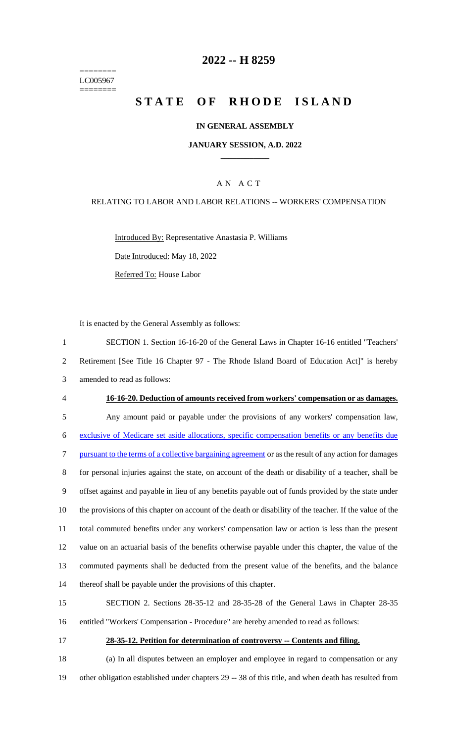======== LC005967 ========

### **-- H 8259**

# **STATE OF RHODE ISLAND**

#### **IN GENERAL ASSEMBLY**

#### **JANUARY SESSION, A.D. 2022 \_\_\_\_\_\_\_\_\_\_\_\_**

### A N A C T

#### RELATING TO LABOR AND LABOR RELATIONS -- WORKERS' COMPENSATION

Introduced By: Representative Anastasia P. Williams Date Introduced: May 18, 2022 Referred To: House Labor

It is enacted by the General Assembly as follows:

 SECTION 1. Section 16-16-20 of the General Laws in Chapter 16-16 entitled "Teachers' Retirement [See Title 16 Chapter 97 - The Rhode Island Board of Education Act]" is hereby amended to read as follows: **16-16-20. Deduction of amounts received from workers' compensation or as damages.** Any amount paid or payable under the provisions of any workers' compensation law, exclusive of Medicare set aside allocations, specific compensation benefits or any benefits due pursuant to the terms of a collective bargaining agreement or as the result of any action for damages for personal injuries against the state, on account of the death or disability of a teacher, shall be offset against and payable in lieu of any benefits payable out of funds provided by the state under the provisions of this chapter on account of the death or disability of the teacher. If the value of the total commuted benefits under any workers' compensation law or action is less than the present value on an actuarial basis of the benefits otherwise payable under this chapter, the value of the commuted payments shall be deducted from the present value of the benefits, and the balance thereof shall be payable under the provisions of this chapter.

 SECTION 2. Sections 28-35-12 and 28-35-28 of the General Laws in Chapter 28-35 entitled "Workers' Compensation - Procedure" are hereby amended to read as follows:

# **28-35-12. Petition for determination of controversy -- Contents and filing.**

 (a) In all disputes between an employer and employee in regard to compensation or any other obligation established under chapters 29 -- 38 of this title, and when death has resulted from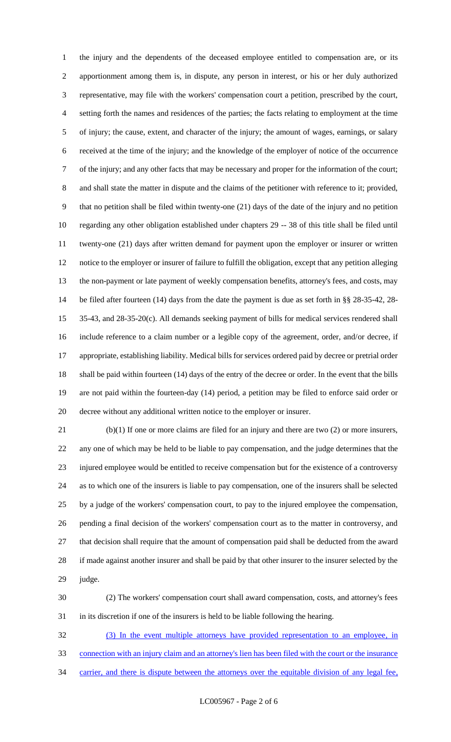the injury and the dependents of the deceased employee entitled to compensation are, or its apportionment among them is, in dispute, any person in interest, or his or her duly authorized representative, may file with the workers' compensation court a petition, prescribed by the court, setting forth the names and residences of the parties; the facts relating to employment at the time of injury; the cause, extent, and character of the injury; the amount of wages, earnings, or salary received at the time of the injury; and the knowledge of the employer of notice of the occurrence of the injury; and any other facts that may be necessary and proper for the information of the court; and shall state the matter in dispute and the claims of the petitioner with reference to it; provided, that no petition shall be filed within twenty-one (21) days of the date of the injury and no petition regarding any other obligation established under chapters 29 -- 38 of this title shall be filed until twenty-one (21) days after written demand for payment upon the employer or insurer or written notice to the employer or insurer of failure to fulfill the obligation, except that any petition alleging the non-payment or late payment of weekly compensation benefits, attorney's fees, and costs, may be filed after fourteen (14) days from the date the payment is due as set forth in §§ 28-35-42, 28- 35-43, and 28-35-20(c). All demands seeking payment of bills for medical services rendered shall include reference to a claim number or a legible copy of the agreement, order, and/or decree, if appropriate, establishing liability. Medical bills for services ordered paid by decree or pretrial order shall be paid within fourteen (14) days of the entry of the decree or order. In the event that the bills are not paid within the fourteen-day (14) period, a petition may be filed to enforce said order or decree without any additional written notice to the employer or insurer.

 (b)(1) If one or more claims are filed for an injury and there are two (2) or more insurers, any one of which may be held to be liable to pay compensation, and the judge determines that the injured employee would be entitled to receive compensation but for the existence of a controversy as to which one of the insurers is liable to pay compensation, one of the insurers shall be selected by a judge of the workers' compensation court, to pay to the injured employee the compensation, pending a final decision of the workers' compensation court as to the matter in controversy, and that decision shall require that the amount of compensation paid shall be deducted from the award if made against another insurer and shall be paid by that other insurer to the insurer selected by the judge.

 (2) The workers' compensation court shall award compensation, costs, and attorney's fees in its discretion if one of the insurers is held to be liable following the hearing.

 (3) In the event multiple attorneys have provided representation to an employee, in connection with an injury claim and an attorney's lien has been filed with the court or the insurance 34 carrier, and there is dispute between the attorneys over the equitable division of any legal fee,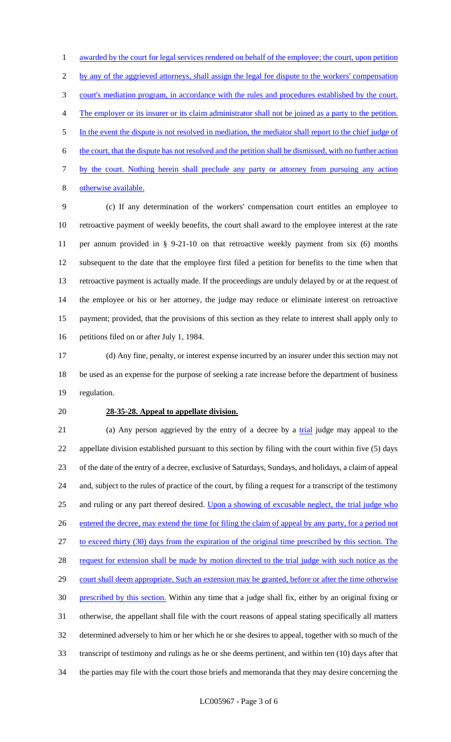1 awarded by the court for legal services rendered on behalf of the employee; the court, upon petition 2 by any of the aggrieved attorneys, shall assign the legal fee dispute to the workers' compensation court's mediation program, in accordance with the rules and procedures established by the court. The employer or its insurer or its claim administrator shall not be joined as a party to the petition. In the event the dispute is not resolved in mediation, the mediator shall report to the chief judge of the court, that the dispute has not resolved and the petition shall be dismissed, with no further action by the court. Nothing herein shall preclude any party or attorney from pursuing any action otherwise available.

 (c) If any determination of the workers' compensation court entitles an employee to retroactive payment of weekly benefits, the court shall award to the employee interest at the rate per annum provided in § 9-21-10 on that retroactive weekly payment from six (6) months subsequent to the date that the employee first filed a petition for benefits to the time when that retroactive payment is actually made. If the proceedings are unduly delayed by or at the request of the employee or his or her attorney, the judge may reduce or eliminate interest on retroactive payment; provided, that the provisions of this section as they relate to interest shall apply only to petitions filed on or after July 1, 1984.

 (d) Any fine, penalty, or interest expense incurred by an insurer under this section may not be used as an expense for the purpose of seeking a rate increase before the department of business regulation.

#### **28-35-28. Appeal to appellate division.**

21 (a) Any person aggrieved by the entry of a decree by a trial judge may appeal to the appellate division established pursuant to this section by filing with the court within five (5) days of the date of the entry of a decree, exclusive of Saturdays, Sundays, and holidays, a claim of appeal and, subject to the rules of practice of the court, by filing a request for a transcript of the testimony and ruling or any part thereof desired. Upon a showing of excusable neglect, the trial judge who entered the decree, may extend the time for filing the claim of appeal by any party, for a period not to exceed thirty (30) days from the expiration of the original time prescribed by this section. The 28 request for extension shall be made by motion directed to the trial judge with such notice as the 29 court shall deem appropriate. Such an extension may be granted, before or after the time otherwise prescribed by this section. Within any time that a judge shall fix, either by an original fixing or otherwise, the appellant shall file with the court reasons of appeal stating specifically all matters determined adversely to him or her which he or she desires to appeal, together with so much of the transcript of testimony and rulings as he or she deems pertinent, and within ten (10) days after that the parties may file with the court those briefs and memoranda that they may desire concerning the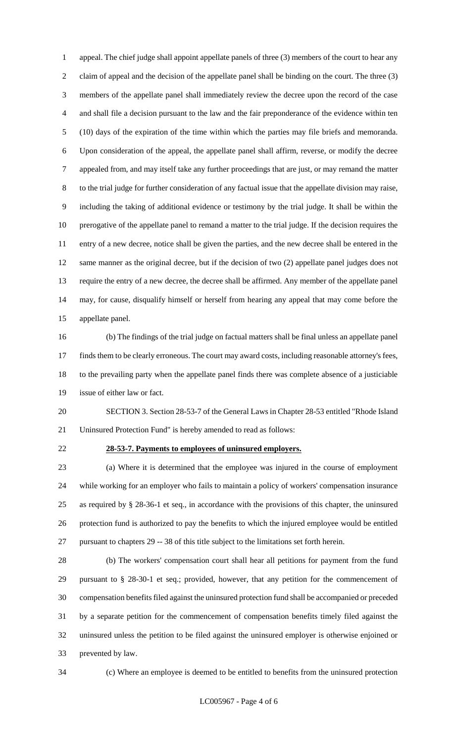appeal. The chief judge shall appoint appellate panels of three (3) members of the court to hear any claim of appeal and the decision of the appellate panel shall be binding on the court. The three (3) members of the appellate panel shall immediately review the decree upon the record of the case and shall file a decision pursuant to the law and the fair preponderance of the evidence within ten (10) days of the expiration of the time within which the parties may file briefs and memoranda. Upon consideration of the appeal, the appellate panel shall affirm, reverse, or modify the decree appealed from, and may itself take any further proceedings that are just, or may remand the matter to the trial judge for further consideration of any factual issue that the appellate division may raise, including the taking of additional evidence or testimony by the trial judge. It shall be within the prerogative of the appellate panel to remand a matter to the trial judge. If the decision requires the entry of a new decree, notice shall be given the parties, and the new decree shall be entered in the same manner as the original decree, but if the decision of two (2) appellate panel judges does not require the entry of a new decree, the decree shall be affirmed. Any member of the appellate panel may, for cause, disqualify himself or herself from hearing any appeal that may come before the appellate panel.

 (b) The findings of the trial judge on factual matters shall be final unless an appellate panel finds them to be clearly erroneous. The court may award costs, including reasonable attorney's fees, to the prevailing party when the appellate panel finds there was complete absence of a justiciable issue of either law or fact.

 SECTION 3. Section 28-53-7 of the General Laws in Chapter 28-53 entitled "Rhode Island Uninsured Protection Fund" is hereby amended to read as follows:

#### **28-53-7. Payments to employees of uninsured employers.**

 (a) Where it is determined that the employee was injured in the course of employment while working for an employer who fails to maintain a policy of workers' compensation insurance as required by § 28-36-1 et seq., in accordance with the provisions of this chapter, the uninsured protection fund is authorized to pay the benefits to which the injured employee would be entitled pursuant to chapters 29 -- 38 of this title subject to the limitations set forth herein.

 (b) The workers' compensation court shall hear all petitions for payment from the fund pursuant to § 28-30-1 et seq.; provided, however, that any petition for the commencement of compensation benefits filed against the uninsured protection fund shall be accompanied or preceded by a separate petition for the commencement of compensation benefits timely filed against the uninsured unless the petition to be filed against the uninsured employer is otherwise enjoined or prevented by law.

(c) Where an employee is deemed to be entitled to benefits from the uninsured protection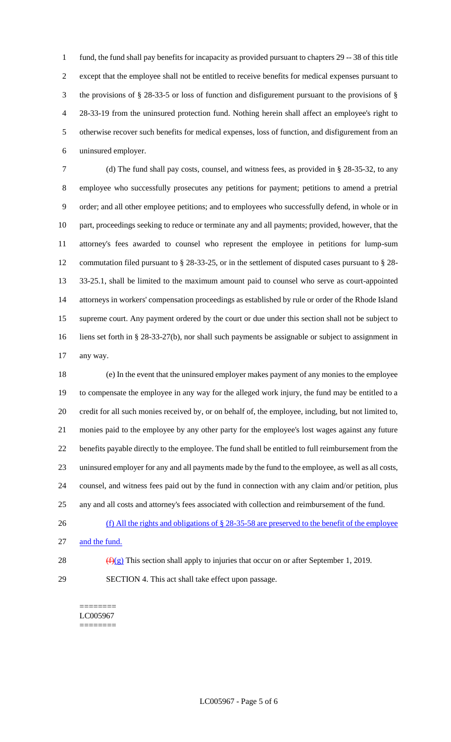fund, the fund shall pay benefits for incapacity as provided pursuant to chapters 29 -- 38 of this title except that the employee shall not be entitled to receive benefits for medical expenses pursuant to the provisions of § 28-33-5 or loss of function and disfigurement pursuant to the provisions of § 28-33-19 from the uninsured protection fund. Nothing herein shall affect an employee's right to otherwise recover such benefits for medical expenses, loss of function, and disfigurement from an uninsured employer.

 (d) The fund shall pay costs, counsel, and witness fees, as provided in § 28-35-32, to any employee who successfully prosecutes any petitions for payment; petitions to amend a pretrial order; and all other employee petitions; and to employees who successfully defend, in whole or in part, proceedings seeking to reduce or terminate any and all payments; provided, however, that the attorney's fees awarded to counsel who represent the employee in petitions for lump-sum commutation filed pursuant to § 28-33-25, or in the settlement of disputed cases pursuant to § 28- 33-25.1, shall be limited to the maximum amount paid to counsel who serve as court-appointed attorneys in workers' compensation proceedings as established by rule or order of the Rhode Island supreme court. Any payment ordered by the court or due under this section shall not be subject to liens set forth in § 28-33-27(b), nor shall such payments be assignable or subject to assignment in any way.

 (e) In the event that the uninsured employer makes payment of any monies to the employee to compensate the employee in any way for the alleged work injury, the fund may be entitled to a credit for all such monies received by, or on behalf of, the employee, including, but not limited to, monies paid to the employee by any other party for the employee's lost wages against any future benefits payable directly to the employee. The fund shall be entitled to full reimbursement from the uninsured employer for any and all payments made by the fund to the employee, as well as all costs, counsel, and witness fees paid out by the fund in connection with any claim and/or petition, plus any and all costs and attorney's fees associated with collection and reimbursement of the fund.

- (f) All the rights and obligations of § 28-35-58 are preserved to the benefit of the employee
- and the fund.
- 
- 28  $(f)(g)$  This section shall apply to injuries that occur on or after September 1, 2019.
- SECTION 4. This act shall take effect upon passage.

======== LC005967 ========